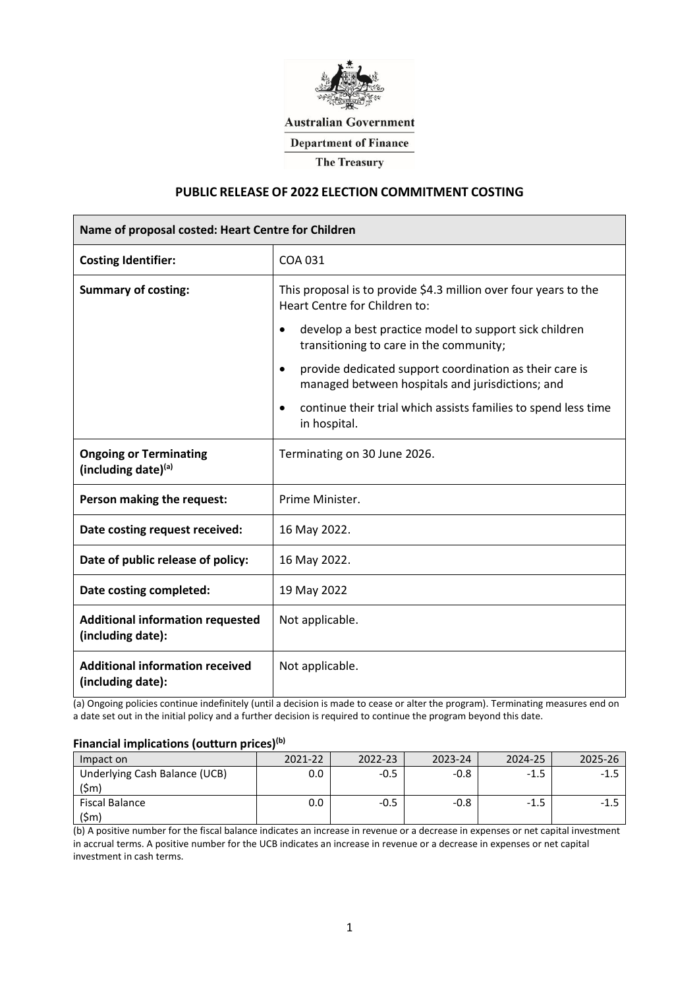

**Australian Government** 

**Department of Finance** 

**The Treasury** 

### **PUBLIC RELEASE OF 2022 ELECTION COMMITMENT COSTING**

| Name of proposal costed: Heart Centre for Children           |                                                                                                                                                                                                                                                                                                                                                                                                                                                |  |  |  |
|--------------------------------------------------------------|------------------------------------------------------------------------------------------------------------------------------------------------------------------------------------------------------------------------------------------------------------------------------------------------------------------------------------------------------------------------------------------------------------------------------------------------|--|--|--|
| <b>Costing Identifier:</b>                                   | COA 031                                                                                                                                                                                                                                                                                                                                                                                                                                        |  |  |  |
| <b>Summary of costing:</b>                                   | This proposal is to provide \$4.3 million over four years to the<br>Heart Centre for Children to:<br>develop a best practice model to support sick children<br>$\bullet$<br>transitioning to care in the community;<br>provide dedicated support coordination as their care is<br>$\bullet$<br>managed between hospitals and jurisdictions; and<br>continue their trial which assists families to spend less time<br>$\bullet$<br>in hospital. |  |  |  |
| <b>Ongoing or Terminating</b><br>(including date) $(a)$      | Terminating on 30 June 2026.                                                                                                                                                                                                                                                                                                                                                                                                                   |  |  |  |
| Person making the request:                                   | Prime Minister.                                                                                                                                                                                                                                                                                                                                                                                                                                |  |  |  |
| Date costing request received:                               | 16 May 2022.                                                                                                                                                                                                                                                                                                                                                                                                                                   |  |  |  |
| Date of public release of policy:                            | 16 May 2022.                                                                                                                                                                                                                                                                                                                                                                                                                                   |  |  |  |
| Date costing completed:                                      | 19 May 2022                                                                                                                                                                                                                                                                                                                                                                                                                                    |  |  |  |
| <b>Additional information requested</b><br>(including date): | Not applicable.                                                                                                                                                                                                                                                                                                                                                                                                                                |  |  |  |
| <b>Additional information received</b><br>(including date):  | Not applicable.                                                                                                                                                                                                                                                                                                                                                                                                                                |  |  |  |

(a) Ongoing policies continue indefinitely (until a decision is made to cease or alter the program). Terminating measures end on a date set out in the initial policy and a further decision is required to continue the program beyond this date.

# **Financial implications (outturn prices)(b)**

| Impact on                     | 2021-22 | 2022-23 | 12-24 | 2024-25 |  |
|-------------------------------|---------|---------|-------|---------|--|
| Underlying Cash Balance (UCB) |         |         | -0.X  | $-1$    |  |
| (Śm                           |         |         |       |         |  |
| Fiscal Balance                |         |         |       | - 1     |  |
| ۱Sm                           |         |         |       |         |  |

(b) A positive number for the fiscal balance indicates an increase in revenue or a decrease in expenses or net capital investment in accrual terms. A positive number for the UCB indicates an increase in revenue or a decrease in expenses or net capital investment in cash terms.